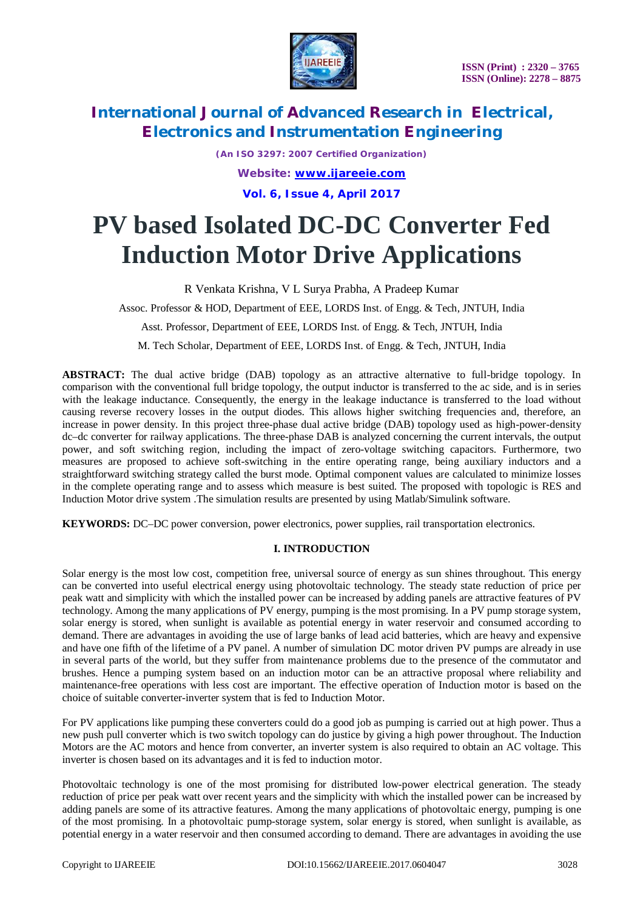

*(An ISO 3297: 2007 Certified Organization) Website: [www.ijareeie.com](http://www.ijareeie.com)* **Vol. 6, Issue 4, April 2017**

# **PV based Isolated DC-DC Converter Fed Induction Motor Drive Applications**

R Venkata Krishna, V L Surya Prabha, A Pradeep Kumar

Assoc. Professor & HOD, Department of EEE, LORDS Inst. of Engg. & Tech, JNTUH, India

Asst. Professor, Department of EEE, LORDS Inst. of Engg. & Tech, JNTUH, India

M. Tech Scholar, Department of EEE, LORDS Inst. of Engg. & Tech, JNTUH, India

**ABSTRACT:** The dual active bridge (DAB) topology as an attractive alternative to full-bridge topology. In comparison with the conventional full bridge topology, the output inductor is transferred to the ac side, and is in series with the leakage inductance. Consequently, the energy in the leakage inductance is transferred to the load without causing reverse recovery losses in the output diodes. This allows higher switching frequencies and, therefore, an increase in power density. In this project three-phase dual active bridge (DAB) topology used as high-power-density dc–dc converter for railway applications. The three-phase DAB is analyzed concerning the current intervals, the output power, and soft switching region, including the impact of zero-voltage switching capacitors. Furthermore, two measures are proposed to achieve soft-switching in the entire operating range, being auxiliary inductors and a straightforward switching strategy called the burst mode. Optimal component values are calculated to minimize losses in the complete operating range and to assess which measure is best suited. The proposed with topologic is RES and Induction Motor drive system .The simulation results are presented by using Matlab/Simulink software.

**KEYWORDS:** DC–DC power conversion, power electronics, power supplies, rail transportation electronics.

### **I. INTRODUCTION**

Solar energy is the most low cost, competition free, universal source of energy as sun shines throughout. This energy can be converted into useful electrical energy using photovoltaic technology. The steady state reduction of price per peak watt and simplicity with which the installed power can be increased by adding panels are attractive features of PV technology. Among the many applications of PV energy, pumping is the most promising. In a PV pump storage system, solar energy is stored, when sunlight is available as potential energy in water reservoir and consumed according to demand. There are advantages in avoiding the use of large banks of lead acid batteries, which are heavy and expensive and have one fifth of the lifetime of a PV panel. A number of simulation DC motor driven PV pumps are already in use in several parts of the world, but they suffer from maintenance problems due to the presence of the commutator and brushes. Hence a pumping system based on an induction motor can be an attractive proposal where reliability and maintenance-free operations with less cost are important. The effective operation of Induction motor is based on the choice of suitable converter-inverter system that is fed to Induction Motor.

For PV applications like pumping these converters could do a good job as pumping is carried out at high power. Thus a new push pull converter which is two switch topology can do justice by giving a high power throughout. The Induction Motors are the AC motors and hence from converter, an inverter system is also required to obtain an AC voltage. This inverter is chosen based on its advantages and it is fed to induction motor.

Photovoltaic technology is one of the most promising for distributed low-power electrical generation. The steady reduction of price per peak watt over recent years and the simplicity with which the installed power can be increased by adding panels are some of its attractive features. Among the many applications of photovoltaic energy, pumping is one of the most promising. In a photovoltaic pump-storage system, solar energy is stored, when sunlight is available, as potential energy in a water reservoir and then consumed according to demand. There are advantages in avoiding the use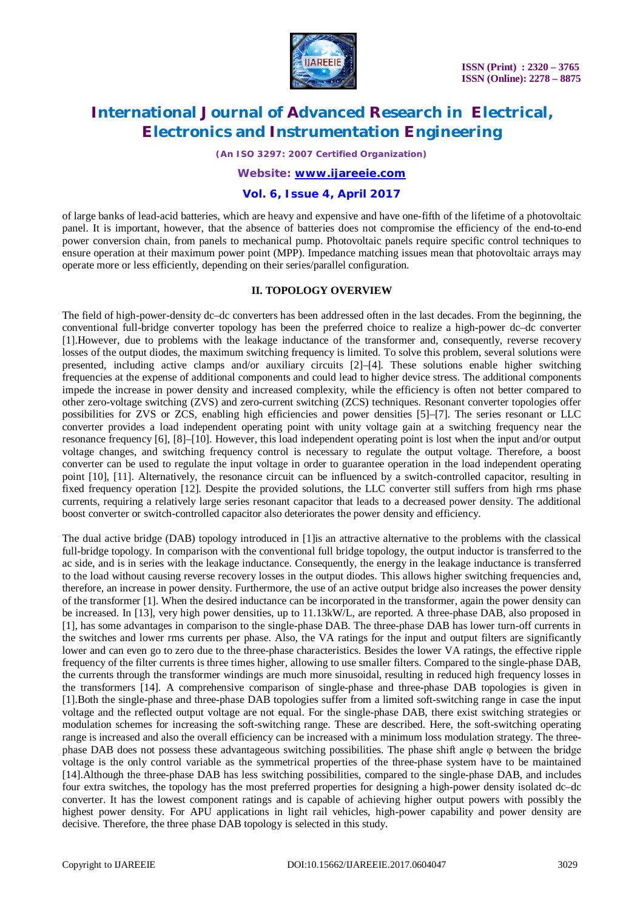

*(An ISO 3297: 2007 Certified Organization)*

#### *Website: [www.ijareeie.com](http://www.ijareeie.com)*

### **Vol. 6, Issue 4, April 2017**

of large banks of lead-acid batteries, which are heavy and expensive and have one-fifth of the lifetime of a photovoltaic panel. It is important, however, that the absence of batteries does not compromise the efficiency of the end-to-end power conversion chain, from panels to mechanical pump. Photovoltaic panels require specific control techniques to ensure operation at their maximum power point (MPP). Impedance matching issues mean that photovoltaic arrays may operate more or less efficiently, depending on their series/parallel configuration.

#### **II. TOPOLOGY OVERVIEW**

The field of high-power-density dc–dc converters has been addressed often in the last decades. From the beginning, the conventional full-bridge converter topology has been the preferred choice to realize a high-power dc–dc converter [1].However, due to problems with the leakage inductance of the transformer and, consequently, reverse recovery losses of the output diodes, the maximum switching frequency is limited. To solve this problem, several solutions were presented, including active clamps and/or auxiliary circuits [2]–[4]. These solutions enable higher switching frequencies at the expense of additional components and could lead to higher device stress. The additional components impede the increase in power density and increased complexity, while the efficiency is often not better compared to other zero-voltage switching (ZVS) and zero-current switching (ZCS) techniques. Resonant converter topologies offer possibilities for ZVS or ZCS, enabling high efficiencies and power densities [5]–[7]. The series resonant or LLC converter provides a load independent operating point with unity voltage gain at a switching frequency near the resonance frequency [6], [8]–[10]. However, this load independent operating point is lost when the input and/or output voltage changes, and switching frequency control is necessary to regulate the output voltage. Therefore, a boost converter can be used to regulate the input voltage in order to guarantee operation in the load independent operating point [10], [11]. Alternatively, the resonance circuit can be influenced by a switch-controlled capacitor, resulting in fixed frequency operation [12]. Despite the provided solutions, the LLC converter still suffers from high rms phase currents, requiring a relatively large series resonant capacitor that leads to a decreased power density. The additional boost converter or switch-controlled capacitor also deteriorates the power density and efficiency.

The dual active bridge (DAB) topology introduced in [1]is an attractive alternative to the problems with the classical full-bridge topology. In comparison with the conventional full bridge topology, the output inductor is transferred to the ac side, and is in series with the leakage inductance. Consequently, the energy in the leakage inductance is transferred to the load without causing reverse recovery losses in the output diodes. This allows higher switching frequencies and, therefore, an increase in power density. Furthermore, the use of an active output bridge also increases the power density of the transformer [1]. When the desired inductance can be incorporated in the transformer, again the power density can be increased. In [13], very high power densities, up to 11.13kW/L, are reported. A three-phase DAB, also proposed in [1], has some advantages in comparison to the single-phase DAB. The three-phase DAB has lower turn-off currents in the switches and lower rms currents per phase. Also, the VA ratings for the input and output filters are significantly lower and can even go to zero due to the three-phase characteristics. Besides the lower VA ratings, the effective ripple frequency of the filter currents is three times higher, allowing to use smaller filters. Compared to the single-phase DAB, the currents through the transformer windings are much more sinusoidal, resulting in reduced high frequency losses in the transformers [14]. A comprehensive comparison of single-phase and three-phase DAB topologies is given in [1].Both the single-phase and three-phase DAB topologies suffer from a limited soft-switching range in case the input voltage and the reflected output voltage are not equal. For the single-phase DAB, there exist switching strategies or modulation schemes for increasing the soft-switching range. These are described. Here, the soft-switching operating range is increased and also the overall efficiency can be increased with a minimum loss modulation strategy. The threephase DAB does not possess these advantageous switching possibilities. The phase shift angle φ between the bridge voltage is the only control variable as the symmetrical properties of the three-phase system have to be maintained [14].Although the three-phase DAB has less switching possibilities, compared to the single-phase DAB, and includes four extra switches, the topology has the most preferred properties for designing a high-power density isolated dc–dc converter. It has the lowest component ratings and is capable of achieving higher output powers with possibly the highest power density. For APU applications in light rail vehicles, high-power capability and power density are decisive. Therefore, the three phase DAB topology is selected in this study.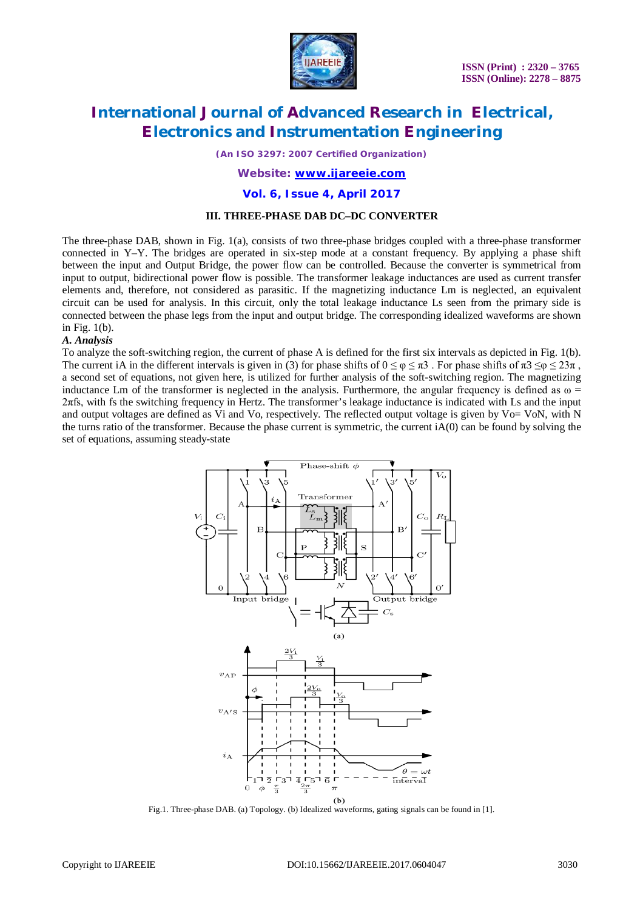

*(An ISO 3297: 2007 Certified Organization)*

### *Website: [www.ijareeie.com](http://www.ijareeie.com)*

#### **Vol. 6, Issue 4, April 2017**

#### **III. THREE-PHASE DAB DC–DC CONVERTER**

The three-phase DAB, shown in Fig. 1(a), consists of two three-phase bridges coupled with a three-phase transformer connected in Y–Y. The bridges are operated in six-step mode at a constant frequency. By applying a phase shift between the input and Output Bridge, the power flow can be controlled. Because the converter is symmetrical from input to output, bidirectional power flow is possible. The transformer leakage inductances are used as current transfer elements and, therefore, not considered as parasitic. If the magnetizing inductance Lm is neglected, an equivalent circuit can be used for analysis. In this circuit, only the total leakage inductance Ls seen from the primary side is connected between the phase legs from the input and output bridge. The corresponding idealized waveforms are shown in Fig. 1(b).

#### *A. Analysis*

To analyze the soft-switching region, the current of phase A is defined for the first six intervals as depicted in Fig. 1(b). The current iA in the different intervals is given in (3) for phase shifts of  $0 \le \varphi \le \pi 3$ . For phase shifts of  $\pi 3 \le \varphi \le 23\pi$ , a second set of equations, not given here, is utilized for further analysis of the soft-switching region. The magnetizing inductance Lm of the transformer is neglected in the analysis. Furthermore, the angular frequency is defined as  $\omega$  = 2πfs, with fs the switching frequency in Hertz. The transformer's leakage inductance is indicated with Ls and the input and output voltages are defined as Vi and Vo, respectively. The reflected output voltage is given by Vo= VoN, with N the turns ratio of the transformer. Because the phase current is symmetric, the current iA(0) can be found by solving the set of equations, assuming steady-state



Fig.1. Three-phase DAB. (a) Topology. (b) Idealized waveforms, gating signals can be found in [1].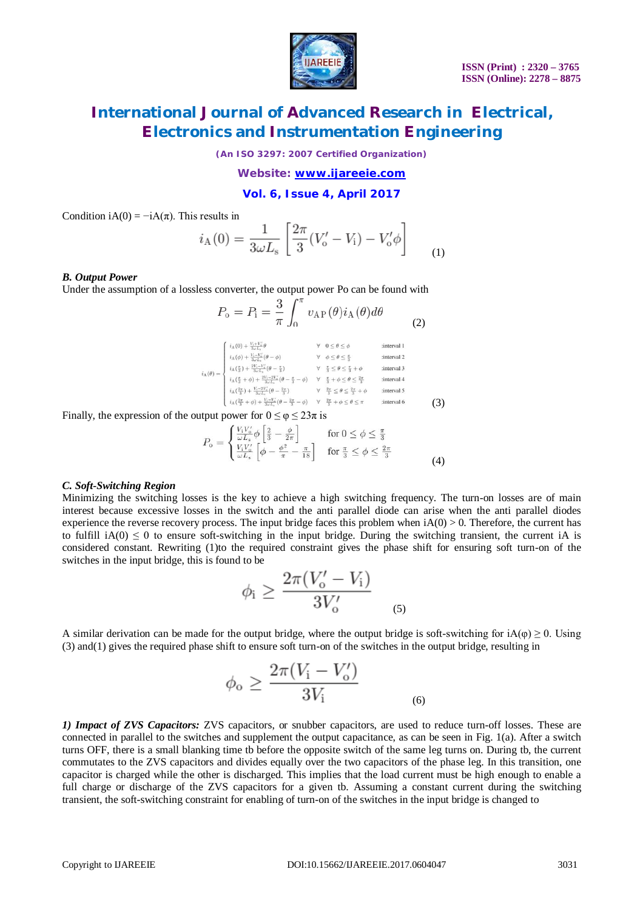

*(An ISO 3297: 2007 Certified Organization)*

*Website: [www.ijareeie.com](http://www.ijareeie.com)*

**Vol. 6, Issue 4, April 2017**

Condition iA(0) =  $-iA(\pi)$ . This results in

$$
i_{A}(0) = \frac{1}{3\omega L_{s}} \left[ \frac{2\pi}{3} (V'_{o} - V_{i}) - V'_{o} \phi \right]
$$
 (1)

#### *B. Output Power*

Under the assumption of a lossless converter, the output power Po can be found with

$$
P_{\rm o} = P_{\rm i} = \frac{3}{\pi} \int_0^{\pi} v_{\rm AP}(\theta) i_{\rm A}(\theta) d\theta \tag{2}
$$

$$
i_{A}(\theta) = \begin{cases} i_{A}(0) + \frac{V_{1} + V_{1}'}{3\omega L_{n}}\theta & \forall \quad 0 \leq \theta \leq \phi & \text{interval 1} \\ i_{A}(\phi) + \frac{V_{1} - V_{n}'}{3\omega L_{n}}(\theta - \phi) & \forall \quad \phi \leq \theta \leq \frac{\pi}{3} & \text{interval 2} \\ i_{A}(\frac{\pi}{3}) + \frac{2V_{1} - V_{n}'}{3\omega L_{n}}(\theta - \frac{\pi}{3}) & \forall \quad \frac{\pi}{3} \leq \theta \leq \frac{\pi}{3} + \phi & \text{interval 3} \\ i_{A}(\frac{\pi}{3} + \phi) + \frac{2V_{1} - 2V_{n}'}{3\omega L_{n}}(\theta - \frac{\pi}{3} - \phi) & \forall \quad \frac{\pi}{3} + \phi \leq \theta \leq \frac{2\pi}{3} & \text{interval 4} \\ i_{A}(\frac{2\pi}{3}) + \frac{V_{1} - 2V_{n}'}{3\omega L_{n}}(\theta - \frac{2\pi}{3}) & \forall \quad \frac{2\pi}{3} \leq \theta \leq \frac{2\pi}{3} + \phi & \text{interval 5} \\ i_{A}(\frac{2\pi}{3} + \phi) + \frac{V_{1} - V_{n}'}{3\omega L_{n}}(\theta - \frac{2\pi}{3} - \phi) & \forall \quad \frac{2\pi}{3} + \phi \leq \theta \leq \pi & \text{interval 6} \end{cases}
$$
\n(3)

Finally, the expression of the output power for  $0 \le \varphi \le 23\pi$  is

$$
P_{\rm o} = \begin{cases} \frac{V_{\rm i} V_{\rm o}'}{\omega L_{\rm s}} \phi \left[ \frac{2}{3} - \frac{\phi}{2\pi} \right] & \text{for } 0 \le \phi \le \frac{\pi}{3} \\ \frac{V_{\rm i} V_{\rm o}'}{\omega L_{\rm s}} \left[ \phi - \frac{\phi^2}{\pi} - \frac{\pi}{18} \right] & \text{for } \frac{\pi}{3} \le \phi \le \frac{2\pi}{3} \end{cases} \tag{4}
$$

#### *C. Soft-Switching Region*

Minimizing the switching losses is the key to achieve a high switching frequency. The turn-on losses are of main interest because excessive losses in the switch and the anti parallel diode can arise when the anti parallel diodes experience the reverse recovery process. The input bridge faces this problem when  $iA(0) > 0$ . Therefore, the current has to fulfill  $iA(0) \leq 0$  to ensure soft-switching in the input bridge. During the switching transient, the current iA is considered constant. Rewriting (1)to the required constraint gives the phase shift for ensuring soft turn-on of the switches in the input bridge, this is found to be

$$
\phi_{\rm i} \ge \frac{2\pi (V_{\rm o}' - V_{\rm i})}{3V_{\rm o}'}
$$

A similar derivation can be made for the output bridge, where the output bridge is soft-switching for  $iA(\varphi) \ge 0$ . Using (3) and(1) gives the required phase shift to ensure soft turn-on of the switches in the output bridge, resulting in

$$
\phi_{\rm o} \ge \frac{2\pi (V_{\rm i} - V_{\rm o}^{\prime})}{3V_{\rm i}}\tag{6}
$$

*1) Impact of ZVS Capacitors:* ZVS capacitors, or snubber capacitors, are used to reduce turn-off losses. These are connected in parallel to the switches and supplement the output capacitance, as can be seen in Fig. 1(a). After a switch turns OFF, there is a small blanking time to before the opposite switch of the same leg turns on. During tb, the current commutates to the ZVS capacitors and divides equally over the two capacitors of the phase leg. In this transition, one capacitor is charged while the other is discharged. This implies that the load current must be high enough to enable a full charge or discharge of the ZVS capacitors for a given tb. Assuming a constant current during the switching transient, the soft-switching constraint for enabling of turn-on of the switches in the input bridge is changed to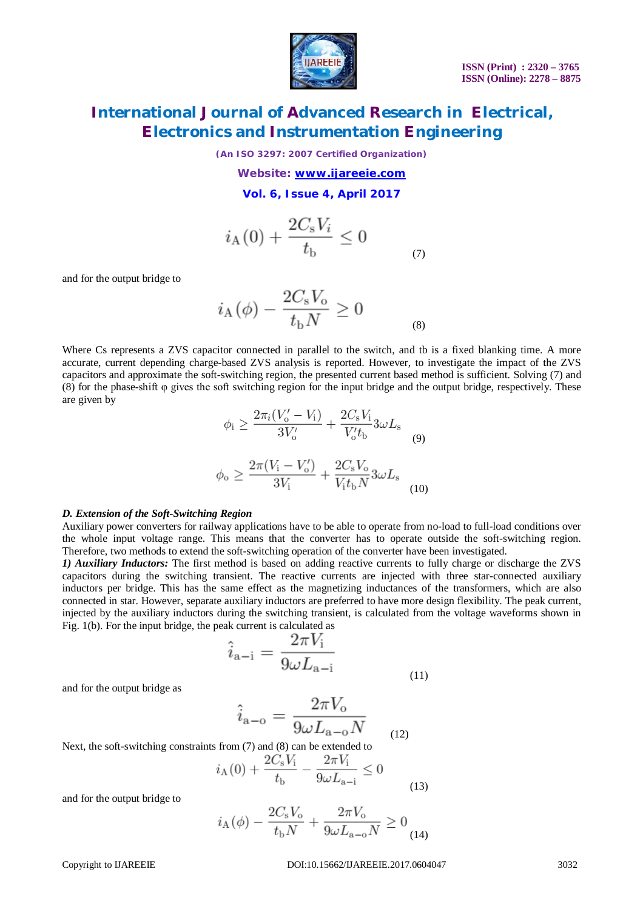

*(An ISO 3297: 2007 Certified Organization)*

*Website: [www.ijareeie.com](http://www.ijareeie.com)*

**Vol. 6, Issue 4, April 2017**

$$
i_{A}(0) + \frac{2C_{s}V_{i}}{t_{b}} \le 0
$$
 (7)

and for the output bridge to

$$
i_{\rm A}(\phi) - \frac{2C_{\rm s}V_{\rm o}}{t_{\rm b}N} \ge 0
$$
 (8)

 $\sim$   $\sim$   $\sim$   $\sim$ 

Where Cs represents a ZVS capacitor connected in parallel to the switch, and tb is a fixed blanking time. A more accurate, current depending charge-based ZVS analysis is reported. However, to investigate the impact of the ZVS capacitors and approximate the soft-switching region, the presented current based method is sufficient. Solving (7) and (8) for the phase-shift φ gives the soft switching region for the input bridge and the output bridge, respectively. These are given by

$$
\phi_{\rm i} \ge \frac{2\pi_{i}(V_{\rm o}' - V_{\rm i})}{3V_{\rm o}'} + \frac{2C_{\rm s}V_{\rm i}}{V_{\rm o}'t_{\rm b}} 3\omega L_{\rm s}
$$
\n
$$
\phi_{\rm o} \ge \frac{2\pi(V_{\rm i} - V_{\rm o}')}{3V_{\rm i}} + \frac{2C_{\rm s}V_{\rm o}}{V_{\rm i}t_{\rm b}N} 3\omega L_{\rm s}
$$
\n(10)

#### *D. Extension of the Soft-Switching Region*

Auxiliary power converters for railway applications have to be able to operate from no-load to full-load conditions over the whole input voltage range. This means that the converter has to operate outside the soft-switching region. Therefore, two methods to extend the soft-switching operation of the converter have been investigated.

*1) Auxiliary Inductors:* The first method is based on adding reactive currents to fully charge or discharge the ZVS capacitors during the switching transient. The reactive currents are injected with three star-connected auxiliary inductors per bridge. This has the same effect as the magnetizing inductances of the transformers, which are also connected in star. However, separate auxiliary inductors are preferred to have more design flexibility. The peak current, injected by the auxiliary inductors during the switching transient, is calculated from the voltage waveforms shown in Fig. 1(b). For the input bridge, the peak current is calculated as

$$
\hat{i}_{a-i} = \frac{2\pi V_i}{9\omega L_{a-i}}
$$
\n(11)

and for the output bridge as

$$
\hat{i}_{a-o} = \frac{2\pi V_o}{9\omega L_{a-o}N}
$$
 (12)

Next, the soft-switching constraints from (7) and (8) can be extended to

$$
i_{A}(0) + \frac{2C_{s}V_{i}}{t_{b}} - \frac{2\pi V_{i}}{9\omega L_{a-i}} \leq 0
$$
\n(13)

and for the output bridge to

$$
i_{A}(\phi) - \frac{2C_{s}V_{o}}{t_{b}N} + \frac{2\pi V_{o}}{9\omega L_{a-o}N} \ge 0
$$
\n(14)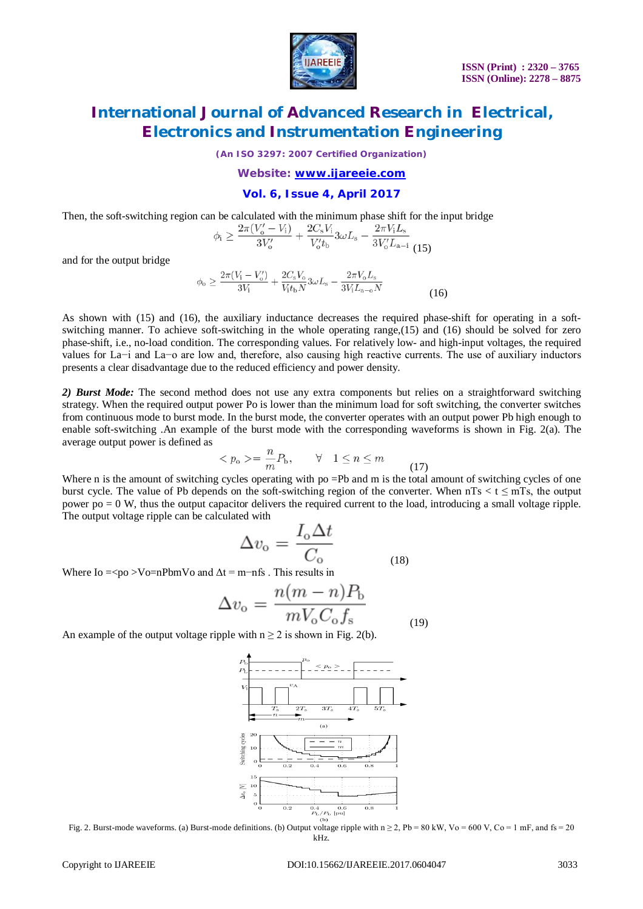

*(An ISO 3297: 2007 Certified Organization)*

#### *Website: [www.ijareeie.com](http://www.ijareeie.com)*

### **Vol. 6, Issue 4, April 2017**

Then, the soft-switching region can be calculated with the minimum phase shift for the input bridge

$$
\phi_{\rm i} \ge \frac{2\pi (V_{\rm o}' - V_{\rm i})}{3V_{\rm o}'} + \frac{2C_{\rm s}V_{\rm i}}{V_{\rm o}'t_{\rm b}} 3\omega L_{\rm s} - \frac{2\pi V_{\rm i}L_{\rm s}}{3V_{\rm o}'L_{\rm a-i}} \tag{15}
$$

and for the output bridge

$$
\phi_{o} \ge \frac{2\pi (V_{i} - V_{o}')}{3V_{i}} + \frac{2C_{s}V_{o}}{V_{i}t_{b}N}3\omega L_{s} - \frac{2\pi V_{o}L_{s}}{3V_{i}L_{a-o}N}
$$
\n(16)

As shown with (15) and (16), the auxiliary inductance decreases the required phase-shift for operating in a softswitching manner. To achieve soft-switching in the whole operating range,(15) and (16) should be solved for zero phase-shift, i.e., no-load condition. The corresponding values. For relatively low- and high-input voltages, the required values for La−i and La−o are low and, therefore, also causing high reactive currents. The use of auxiliary inductors presents a clear disadvantage due to the reduced efficiency and power density.

2) **Burst Mode:** The second method does not use any extra components but relies on a straightforward switching strategy. When the required output power Po is lower than the minimum load for soft switching, the converter switches from continuous mode to burst mode. In the burst mode, the converter operates with an output power Pb high enough to enable soft-switching .An example of the burst mode with the corresponding waveforms is shown in Fig. 2(a). The average output power is defined as

$$
\langle p_{o}\rangle = \frac{n}{m}P_{b}, \qquad \forall \quad 1 \le n \le m \tag{17}
$$

Where n is the amount of switching cycles operating with po =Pb and m is the total amount of switching cycles of one burst cycle. The value of Pb depends on the soft-switching region of the converter. When  $nTs < t \le mTs$ , the output power po = 0 W, thus the output capacitor delivers the required current to the load, introducing a small voltage ripple. The output voltage ripple can be calculated with

$$
\Delta v_{\rm o} = \frac{I_{\rm o} \Delta t}{C_{\rm o}} \tag{18}
$$

Where Io = <po > Vo=nPbmVo and  $\Delta t$  = m−nfs . This results in

$$
\Delta v_{\rm o} = \frac{n(m-n)P_{\rm b}}{mV_{\rm o}C_{\rm o}f_{\rm s}}\tag{19}
$$

An example of the output voltage ripple with  $n \ge 2$  is shown in Fig. 2(b).



Fig. 2. Burst-mode waveforms. (a) Burst-mode definitions. (b) Output voltage ripple with  $n \ge 2$ , Pb = 80 kW, Vo = 600 V, Co = 1 mF, and fs = 20 kHz.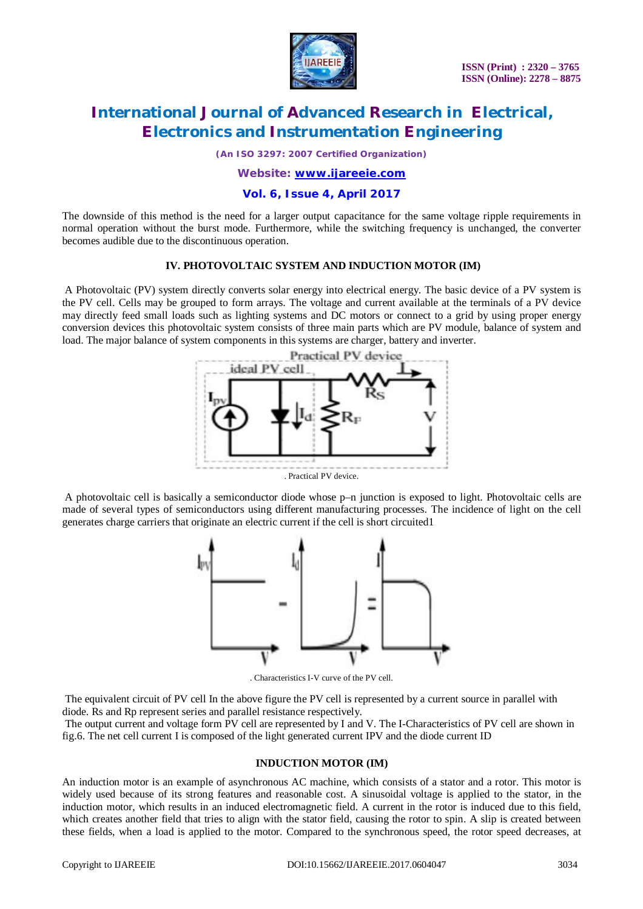

*(An ISO 3297: 2007 Certified Organization)*

### *Website: [www.ijareeie.com](http://www.ijareeie.com)*

### **Vol. 6, Issue 4, April 2017**

The downside of this method is the need for a larger output capacitance for the same voltage ripple requirements in normal operation without the burst mode. Furthermore, while the switching frequency is unchanged, the converter becomes audible due to the discontinuous operation.

### **IV. PHOTOVOLTAIC SYSTEM AND INDUCTION MOTOR (IM)**

A Photovoltaic (PV) system directly converts solar energy into electrical energy. The basic device of a PV system is the PV cell. Cells may be grouped to form arrays. The voltage and current available at the terminals of a PV device may directly feed small loads such as lighting systems and DC motors or connect to a grid by using proper energy conversion devices this photovoltaic system consists of three main parts which are PV module, balance of system and load. The major balance of system components in this systems are charger, battery and inverter.



. Practical PV device.

A photovoltaic cell is basically a semiconductor diode whose p–n junction is exposed to light. Photovoltaic cells are made of several types of semiconductors using different manufacturing processes. The incidence of light on the cell generates charge carriers that originate an electric current if the cell is short circuited1



. Characteristics I-V curve of the PV cell.

The equivalent circuit of PV cell In the above figure the PV cell is represented by a current source in parallel with diode. Rs and Rp represent series and parallel resistance respectively.

The output current and voltage form PV cell are represented by I and V. The I-Characteristics of PV cell are shown in fig.6. The net cell current I is composed of the light generated current IPV and the diode current ID

#### **INDUCTION MOTOR (IM)**

An induction motor is an example of asynchronous AC machine, which consists of a stator and a rotor. This motor is widely used because of its strong features and reasonable cost. A sinusoidal voltage is applied to the stator, in the induction motor, which results in an induced electromagnetic field. A current in the rotor is induced due to this field, which creates another field that tries to align with the stator field, causing the rotor to spin. A slip is created between these fields, when a load is applied to the motor. Compared to the synchronous speed, the rotor speed decreases, at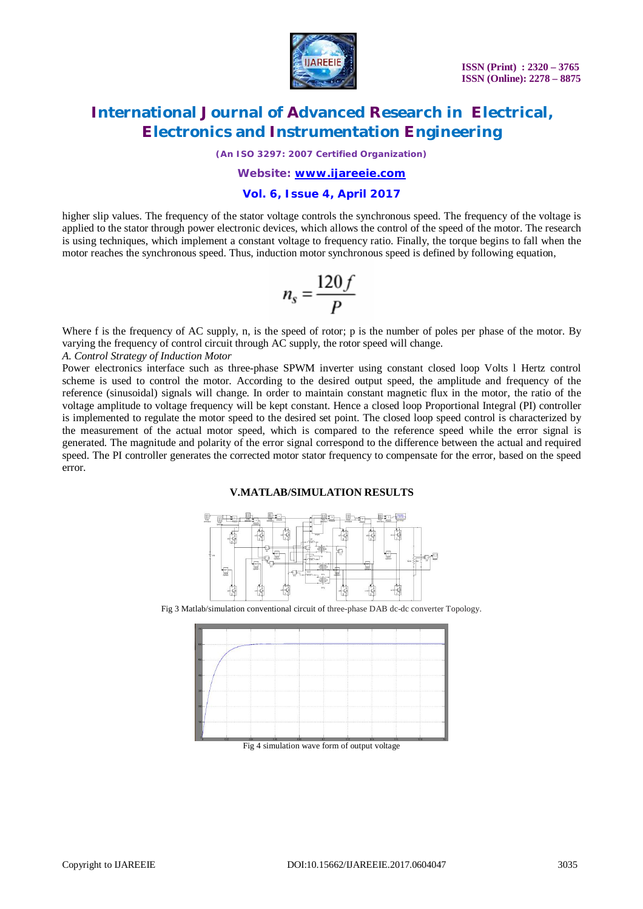

*(An ISO 3297: 2007 Certified Organization)*

### *Website: [www.ijareeie.com](http://www.ijareeie.com)*

### **Vol. 6, Issue 4, April 2017**

higher slip values. The frequency of the stator voltage controls the synchronous speed. The frequency of the voltage is applied to the stator through power electronic devices, which allows the control of the speed of the motor. The research is using techniques, which implement a constant voltage to frequency ratio. Finally, the torque begins to fall when the motor reaches the synchronous speed. Thus, induction motor synchronous speed is defined by following equation,

$$
n_s = \frac{120f}{P}
$$

Where f is the frequency of AC supply, n, is the speed of rotor; p is the number of poles per phase of the motor. By varying the frequency of control circuit through AC supply, the rotor speed will change.

*A. Control Strategy of Induction Motor*

Power electronics interface such as three-phase SPWM inverter using constant closed loop Volts l Hertz control scheme is used to control the motor. According to the desired output speed, the amplitude and frequency of the reference (sinusoidal) signals will change. In order to maintain constant magnetic flux in the motor, the ratio of the voltage amplitude to voltage frequency will be kept constant. Hence a closed loop Proportional Integral (PI) controller is implemented to regulate the motor speed to the desired set point. The closed loop speed control is characterized by the measurement of the actual motor speed, which is compared to the reference speed while the error signal is generated. The magnitude and polarity of the error signal correspond to the difference between the actual and required speed. The PI controller generates the corrected motor stator frequency to compensate for the error, based on the speed error.

#### **V.MATLAB/SIMULATION RESULTS**



Fig 3 Matlab/simulation conventional circuit of three-phase DAB dc-dc converter Topology.



Fig 4 simulation wave form of output voltage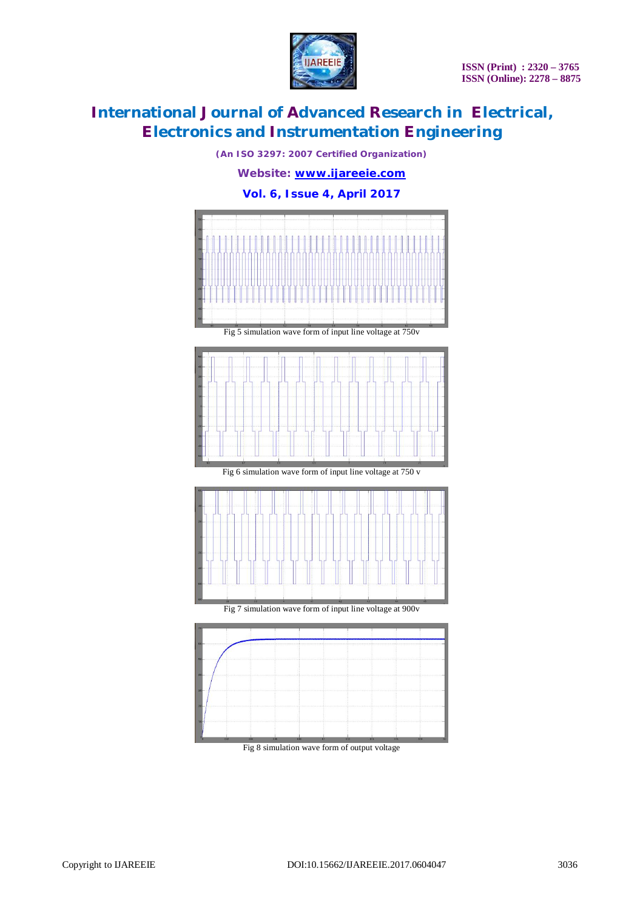

*(An ISO 3297: 2007 Certified Organization) Website: [www.ijareeie.com](http://www.ijareeie.com)* **Vol. 6, Issue 4, April 2017**



Fig 8 simulation wave form of output voltage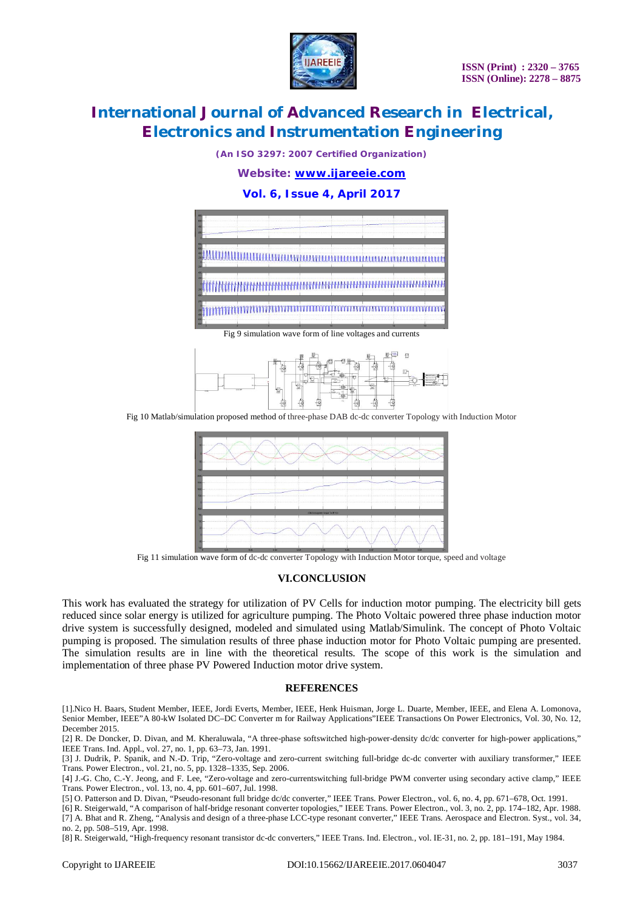

*(An ISO 3297: 2007 Certified Organization)*

### *Website: [www.ijareeie.com](http://www.ijareeie.com)*

### **Vol. 6, Issue 4, April 2017**



Fig 9 simulation wave form of line voltages and currents



Fig 10 Matlab/simulation proposed method of three-phase DAB dc-dc converter Topology with Induction Motor



Fig 11 simulation wave form of dc-dc converter Topology with Induction Motor torque, speed and voltage

#### **VI.CONCLUSION**

This work has evaluated the strategy for utilization of PV Cells for induction motor pumping. The electricity bill gets reduced since solar energy is utilized for agriculture pumping. The Photo Voltaic powered three phase induction motor drive system is successfully designed, modeled and simulated using Matlab/Simulink. The concept of Photo Voltaic pumping is proposed. The simulation results of three phase induction motor for Photo Voltaic pumping are presented. The simulation results are in line with the theoretical results. The scope of this work is the simulation and implementation of three phase PV Powered Induction motor drive system.

#### **REFERENCES**

[1].Nico H. Baars, Student Member, IEEE, Jordi Everts, Member, IEEE, Henk Huisman, Jorge L. Duarte, Member, IEEE, and Elena A. Lomonova, Senior Member, IEEE"A 80-kW Isolated DC–DC Converter m for Railway Applications"IEEE Transactions On Power Electronics, Vol. 30, No. 12, December 2015.

[2] R. De Doncker, D. Divan, and M. Kheraluwala, "A three-phase softswitched high-power-density dc/dc converter for high-power applications," IEEE Trans. Ind. Appl., vol. 27, no. 1, pp. 63–73, Jan. 1991.

[3] J. Dudrik, P. Spanik, and N.-D. Trip, "Zero-voltage and zero-current switching full-bridge dc-dc converter with auxiliary transformer," IEEE Trans. Power Electron., vol. 21, no. 5, pp. 1328–1335, Sep. 2006.

[4] J.-G. Cho, C.-Y. Jeong, and F. Lee, "Zero-voltage and zero-currentswitching full-bridge PWM converter using secondary active clamp," IEEE Trans. Power Electron., vol. 13, no. 4, pp. 601–607, Jul. 1998.

[5] O. Patterson and D. Divan, "Pseudo-resonant full bridge dc/dc converter," IEEE Trans. Power Electron., vol. 6, no. 4, pp. 671–678, Oct. 1991.

[6] R. Steigerwald, "A comparison of half-bridge resonant converter topologies," IEEE Trans. Power Electron., vol. 3, no. 2, pp. 174–182, Apr. 1988. [7] A. Bhat and R. Zheng, "Analysis and design of a three-phase LCC-type resonant converter," IEEE Trans. Aerospace and Electron. Syst., vol. 34, no. 2, pp. 508–519, Apr. 1998.

[8] R. Steigerwald, "High-frequency resonant transistor dc-dc converters," IEEE Trans. Ind. Electron., vol. IE-31, no. 2, pp. 181–191, May 1984.